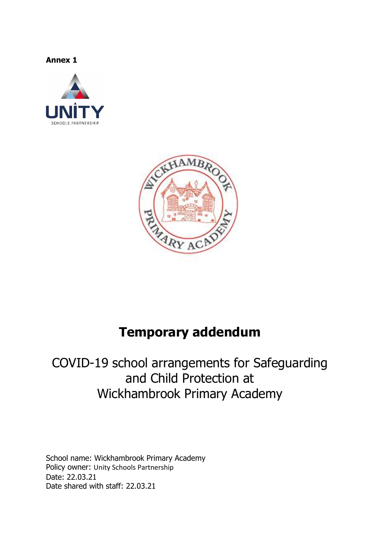**Annex 1**





# **Temporary addendum**

# COVID-19 school arrangements for Safeguarding and Child Protection at Wickhambrook Primary Academy

School name: Wickhambrook Primary Academy Policy owner: Unity Schools Partnership Date: 22.03.21 Date shared with staff: 22.03.21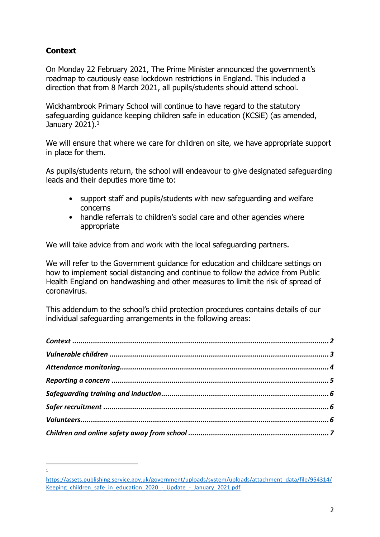# <span id="page-1-0"></span>**Context**

l 1

On Monday 22 February 2021, The Prime Minister announced the government's roadmap to cautiously ease lockdown restrictions in England. This included a direction that from 8 March 2021, all pupils/students should attend school.

Wickhambrook Primary School will continue to have regard to the statutory safeguarding guidance keeping children safe in education (KCSiE) (as amended, January 2021). $^{\rm 1}$ 

We will ensure that where we care for children on site, we have appropriate support in place for them.

As pupils/students return, the school will endeavour to give designated safeguarding leads and their deputies more time to:

- support staff and pupils/students with new safeguarding and welfare concerns
- handle referrals to children's social care and other agencies where appropriate

We will take advice from and work with the local safeguarding partners.

We will refer to the Government guidance for education and childcare settings on how to implement social distancing and continue to follow the advice from Public Health England on handwashing and other measures to limit the risk of spread of coronavirus.

This addendum to the school's child protection procedures contains details of our individual safeguarding arrangements in the following areas:

[https://assets.publishing.service.gov.uk/government/uploads/system/uploads/attachment\\_data/file/954314/](https://assets.publishing.service.gov.uk/government/uploads/system/uploads/attachment_data/file/954314/Keeping_children_safe_in_education_2020_-_Update_-_January_2021.pdf) Keeping children safe in education 2020 - Update - January 2021.pdf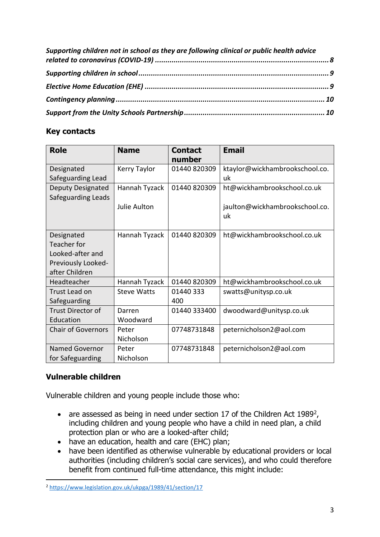| Supporting children not in school as they are following clinical or public health advice |  |
|------------------------------------------------------------------------------------------|--|
|                                                                                          |  |
|                                                                                          |  |
|                                                                                          |  |
|                                                                                          |  |

# **Key contacts**

| <b>Role</b>               | <b>Name</b>        | <b>Contact</b><br>number | <b>Email</b>                   |
|---------------------------|--------------------|--------------------------|--------------------------------|
| Designated                | Kerry Taylor       | 01440 820309             | ktaylor@wickhambrookschool.co. |
| Safeguarding Lead         |                    |                          | uk                             |
| Deputy Designated         | Hannah Tyzack      | 01440 820309             | ht@wickhambrookschool.co.uk    |
| Safeguarding Leads        |                    |                          |                                |
|                           | Julie Aulton       |                          | jaulton@wickhambrookschool.co. |
|                           |                    |                          | uk                             |
|                           |                    |                          |                                |
| Designated                | Hannah Tyzack      | 01440 820309             | ht@wickhambrookschool.co.uk    |
| Teacher for               |                    |                          |                                |
| Looked-after and          |                    |                          |                                |
| Previously Looked-        |                    |                          |                                |
| after Children            |                    |                          |                                |
| Headteacher               | Hannah Tyzack      | 01440 820309             | ht@wickhambrookschool.co.uk    |
| <b>Trust Lead on</b>      | <b>Steve Watts</b> | 01440 333                | swatts@unitysp.co.uk           |
| Safeguarding              |                    | 400                      |                                |
| Trust Director of         | Darren             | 01440 333400             | dwoodward@unitysp.co.uk        |
| Education                 | Woodward           |                          |                                |
| <b>Chair of Governors</b> | Peter              | 07748731848              | peternicholson2@aol.com        |
|                           | Nicholson          |                          |                                |
| <b>Named Governor</b>     | Peter              | 07748731848              | peternicholson2@aol.com        |
| for Safeguarding          | Nicholson          |                          |                                |

# <span id="page-2-0"></span>**Vulnerable children**

 $\overline{a}$ 

Vulnerable children and young people include those who:

- are assessed as being in need under section 17 of the Children Act 1989<sup>2</sup>, including children and young people who have a child in need plan, a child protection plan or who are a looked-after child;
- have an education, health and care (EHC) plan;
- have been identified as otherwise vulnerable by educational providers or local authorities (including children's social care services), and who could therefore benefit from continued full-time attendance, this might include:

<sup>2</sup> <https://www.legislation.gov.uk/ukpga/1989/41/section/17>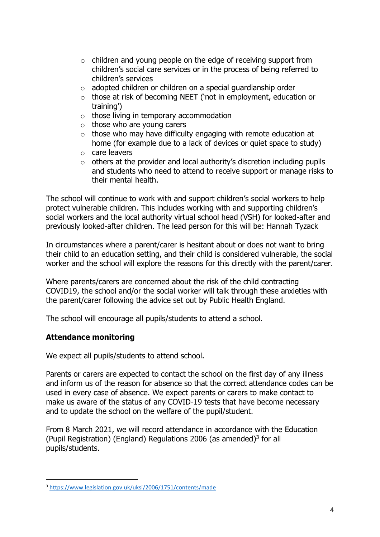- o children and young people on the edge of receiving support from children's social care services or in the process of being referred to children's services
- o adopted children or children on a special guardianship order
- o those at risk of becoming NEET ('not in employment, education or training')
- o those living in temporary accommodation
- $\circ$  those who are young carers
- $\circ$  those who may have difficulty engaging with remote education at home (for example due to a lack of devices or quiet space to study)
- o care leavers
- $\circ$  others at the provider and local authority's discretion including pupils and students who need to attend to receive support or manage risks to their mental health.

The school will continue to work with and support children's social workers to help protect vulnerable children. This includes working with and supporting children's social workers and the local authority virtual school head (VSH) for looked-after and previously looked-after children. The lead person for this will be: Hannah Tyzack

In circumstances where a parent/carer is hesitant about or does not want to bring their child to an education setting, and their child is considered vulnerable, the social worker and the school will explore the reasons for this directly with the parent/carer.

Where parents/carers are concerned about the risk of the child contracting COVID19, the school and/or the social worker will talk through these anxieties with the parent/carer following the advice set out by Public Health England.

The school will encourage all pupils/students to attend a school.

# <span id="page-3-0"></span>**Attendance monitoring**

 $\overline{a}$ 

We expect all pupils/students to attend school.

Parents or carers are expected to contact the school on the first day of any illness and inform us of the reason for absence so that the correct attendance codes can be used in every case of absence. We expect parents or carers to make contact to make us aware of the status of any COVID-19 tests that have become necessary and to update the school on the welfare of the pupil/student.

From 8 March 2021, we will record attendance in accordance with the Education (Pupil Registration) (England) Regulations 2006 (as amended) $3$  for all pupils/students.

<sup>3</sup> <https://www.legislation.gov.uk/uksi/2006/1751/contents/made>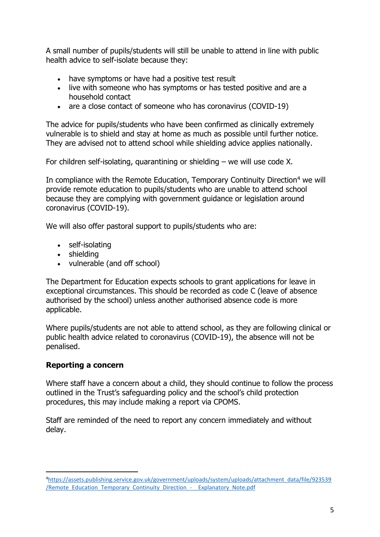A small number of pupils/students will still be unable to attend in line with public health advice to self-isolate because they:

- have symptoms or have had a positive test result
- live with someone who has symptoms or has tested positive and are a household contact
- are a close contact of someone who has coronavirus (COVID-19)

The advice for pupils/students who have been confirmed as clinically extremely vulnerable is to shield and stay at home as much as possible until further notice. They are advised not to attend school while shielding advice applies nationally.

For children self-isolating, quarantining or shielding – we will use code X.

In compliance with the Remote Education, Temporary Continuity Direction<sup>4</sup> we will provide remote education to pupils/students who are unable to attend school because they are complying with government guidance or legislation around coronavirus (COVID-19).

We will also offer pastoral support to pupils/students who are:

- self-isolating
- shielding
- vulnerable (and off school)

The Department for Education expects schools to grant applications for leave in exceptional circumstances. This should be recorded as code C (leave of absence authorised by the school) unless another authorised absence code is more applicable.

Where pupils/students are not able to attend school, as they are following clinical or public health advice related to coronavirus (COVID-19), the absence will not be penalised.

# <span id="page-4-0"></span>**Reporting a concern**

Where staff have a concern about a child, they should continue to follow the process outlined in the Trust's safeguarding policy and the school's child protection procedures, this may include making a report via CPOMS.

Staff are reminded of the need to report any concern immediately and without delay.

 $\overline{a}$ <sup>4</sup>[https://assets.publishing.service.gov.uk/government/uploads/system/uploads/attachment\\_data/file/923539](https://assets.publishing.service.gov.uk/government/uploads/system/uploads/attachment_data/file/923539/Remote_Education_Temporary_Continuity_Direction_-__Explanatory_Note.pdf) [/Remote\\_Education\\_Temporary\\_Continuity\\_Direction\\_-\\_\\_Explanatory\\_Note.pdf](https://assets.publishing.service.gov.uk/government/uploads/system/uploads/attachment_data/file/923539/Remote_Education_Temporary_Continuity_Direction_-__Explanatory_Note.pdf)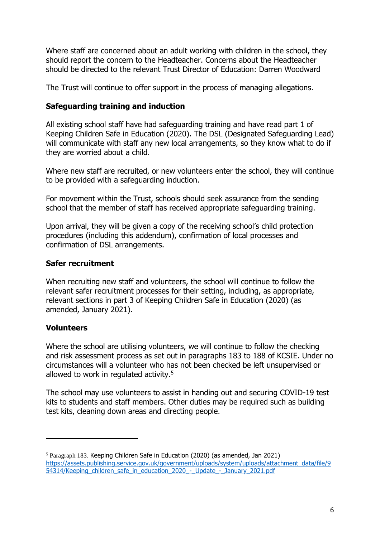Where staff are concerned about an adult working with children in the school, they should report the concern to the Headteacher. Concerns about the Headteacher should be directed to the relevant Trust Director of Education: Darren Woodward

The Trust will continue to offer support in the process of managing allegations.

#### <span id="page-5-0"></span>**Safeguarding training and induction**

All existing school staff have had safeguarding training and have read part 1 of Keeping Children Safe in Education (2020). The DSL (Designated Safeguarding Lead) will communicate with staff any new local arrangements, so they know what to do if they are worried about a child.

Where new staff are recruited, or new volunteers enter the school, they will continue to be provided with a safeguarding induction.

For movement within the Trust, schools should seek assurance from the sending school that the member of staff has received appropriate safeguarding training.

Upon arrival, they will be given a copy of the receiving school's child protection procedures (including this addendum), confirmation of local processes and confirmation of DSL arrangements.

#### <span id="page-5-1"></span>**Safer recruitment**

When recruiting new staff and volunteers, the school will continue to follow the relevant safer recruitment processes for their setting, including, as appropriate, relevant sections in part 3 of Keeping Children Safe in Education (2020) (as amended, January 2021).

#### <span id="page-5-2"></span>**Volunteers**

 $\overline{a}$ 

Where the school are utilising volunteers, we will continue to follow the checking and risk assessment process as set out in paragraphs 183 to 188 of KCSIE. Under no circumstances will a volunteer who has not been checked be left unsupervised or allowed to work in regulated activity. 5

The school may use volunteers to assist in handing out and securing COVID-19 test kits to students and staff members. Other duties may be required such as building test kits, cleaning down areas and directing people.

<sup>5</sup> Paragraph 183. Keeping Children Safe in Education (2020) (as amended, Jan 2021) [https://assets.publishing.service.gov.uk/government/uploads/system/uploads/attachment\\_data/file/9](https://assets.publishing.service.gov.uk/government/uploads/system/uploads/attachment_data/file/954314/Keeping_children_safe_in_education_2020_-_Update_-_January_2021.pdf) [54314/Keeping\\_children\\_safe\\_in\\_education\\_2020\\_-\\_Update\\_-\\_January\\_2021.pdf](https://assets.publishing.service.gov.uk/government/uploads/system/uploads/attachment_data/file/954314/Keeping_children_safe_in_education_2020_-_Update_-_January_2021.pdf)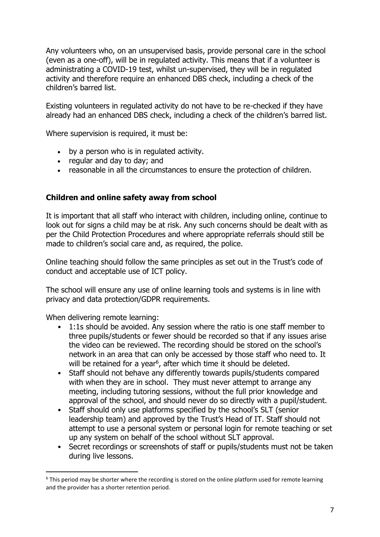Any volunteers who, on an unsupervised basis, provide personal care in the school (even as a one-off), will be in regulated activity. This means that if a volunteer is administrating a COVID-19 test, whilst un-supervised, they will be in regulated activity and therefore require an enhanced DBS check, including a check of the children's barred list.

Existing volunteers in regulated activity do not have to be re-checked if they have already had an enhanced DBS check, including a check of the children's barred list.

Where supervision is required, it must be:

- by a person who is in regulated activity.
- regular and day to day; and
- reasonable in all the circumstances to ensure the protection of children.

### <span id="page-6-0"></span>**Children and online safety away from school**

It is important that all staff who interact with children, including online, continue to look out for signs a child may be at risk. Any such concerns should be dealt with as per the Child Protection Procedures and where appropriate referrals should still be made to children's social care and, as required, the police.

Online teaching should follow the same principles as set out in the Trust's code of conduct and acceptable use of ICT policy.

The school will ensure any use of online learning tools and systems is in line with privacy and data protection/GDPR requirements.

When delivering remote learning:

 $\overline{a}$ 

- 1:1s should be avoided. Any session where the ratio is one staff member to three pupils/students or fewer should be recorded so that if any issues arise the video can be reviewed. The recording should be stored on the school's network in an area that can only be accessed by those staff who need to. It will be retained for a year<sup>6</sup>, after which time it should be deleted.
- Staff should not behave any differently towards pupils/students compared with when they are in school. They must never attempt to arrange any meeting, including tutoring sessions, without the full prior knowledge and approval of the school, and should never do so directly with a pupil/student.
- Staff should only use platforms specified by the school's SLT (senior leadership team) and approved by the Trust's Head of IT. Staff should not attempt to use a personal system or personal login for remote teaching or set up any system on behalf of the school without SLT approval.
- Secret recordings or screenshots of staff or pupils/students must not be taken during live lessons.

 $6$  This period may be shorter where the recording is stored on the online platform used for remote learning and the provider has a shorter retention period.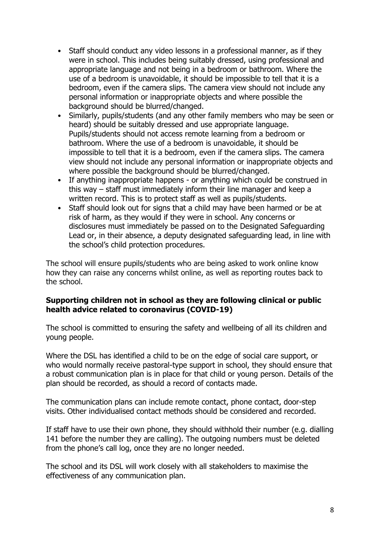- Staff should conduct any video lessons in a professional manner, as if they were in school. This includes being suitably dressed, using professional and appropriate language and not being in a bedroom or bathroom. Where the use of a bedroom is unavoidable, it should be impossible to tell that it is a bedroom, even if the camera slips. The camera view should not include any personal information or inappropriate objects and where possible the background should be blurred/changed.
- Similarly, pupils/students (and any other family members who may be seen or heard) should be suitably dressed and use appropriate language. Pupils/students should not access remote learning from a bedroom or bathroom. Where the use of a bedroom is unavoidable, it should be impossible to tell that it is a bedroom, even if the camera slips. The camera view should not include any personal information or inappropriate objects and where possible the background should be blurred/changed.
- If anything inappropriate happens or anything which could be construed in this way – staff must immediately inform their line manager and keep a written record. This is to protect staff as well as pupils/students.
- Staff should look out for signs that a child may have been harmed or be at risk of harm, as they would if they were in school. Any concerns or disclosures must immediately be passed on to the Designated Safeguarding Lead or, in their absence, a deputy designated safeguarding lead, in line with the school's child protection procedures.

The school will ensure pupils/students who are being asked to work online know how they can raise any concerns whilst online, as well as reporting routes back to the school.

#### <span id="page-7-0"></span>**Supporting children not in school as they are following clinical or public health advice related to coronavirus (COVID-19)**

The school is committed to ensuring the safety and wellbeing of all its children and young people.

Where the DSL has identified a child to be on the edge of social care support, or who would normally receive pastoral-type support in school, they should ensure that a robust communication plan is in place for that child or young person. Details of the plan should be recorded, as should a record of contacts made.

The communication plans can include remote contact, phone contact, door-step visits. Other individualised contact methods should be considered and recorded.

If staff have to use their own phone, they should withhold their number (e.g. dialling 141 before the number they are calling). The outgoing numbers must be deleted from the phone's call log, once they are no longer needed.

The school and its DSL will work closely with all stakeholders to maximise the effectiveness of any communication plan.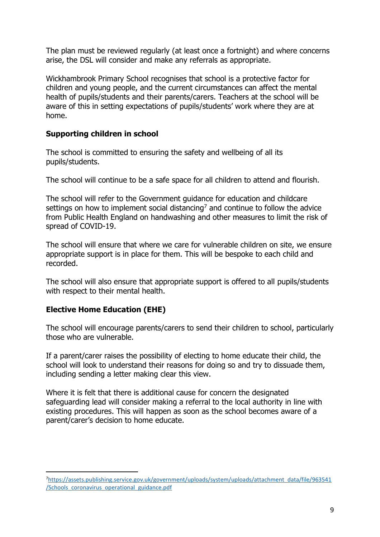The plan must be reviewed regularly (at least once a fortnight) and where concerns arise, the DSL will consider and make any referrals as appropriate.

Wickhambrook Primary School recognises that school is a protective factor for children and young people, and the current circumstances can affect the mental health of pupils/students and their parents/carers. Teachers at the school will be aware of this in setting expectations of pupils/students' work where they are at home.

### <span id="page-8-0"></span>**Supporting children in school**

The school is committed to ensuring the safety and wellbeing of all its pupils/students.

The school will continue to be a safe space for all children to attend and flourish.

The school will refer to the Government guidance for education and childcare settings on how to implement social distancing<sup>7</sup> and continue to follow the advice from Public Health England on handwashing and other measures to limit the risk of spread of COVID-19.

The school will ensure that where we care for vulnerable children on site, we ensure appropriate support is in place for them. This will be bespoke to each child and recorded.

The school will also ensure that appropriate support is offered to all pupils/students with respect to their mental health.

# <span id="page-8-1"></span>**Elective Home Education (EHE)**

 $\overline{a}$ 

The school will encourage parents/carers to send their children to school, particularly those who are vulnerable.

If a parent/carer raises the possibility of electing to home educate their child, the school will look to understand their reasons for doing so and try to dissuade them, including sending a letter making clear this view.

Where it is felt that there is additional cause for concern the designated safeguarding lead will consider making a referral to the local authority in line with existing procedures. This will happen as soon as the school becomes aware of a parent/carer's decision to home educate.

<sup>7</sup>[https://assets.publishing.service.gov.uk/government/uploads/system/uploads/attachment\\_data/file/963541](https://assets.publishing.service.gov.uk/government/uploads/system/uploads/attachment_data/file/963541/Schools_coronavirus_operational_guidance.pdf) [/Schools\\_coronavirus\\_operational\\_guidance.pdf](https://assets.publishing.service.gov.uk/government/uploads/system/uploads/attachment_data/file/963541/Schools_coronavirus_operational_guidance.pdf)